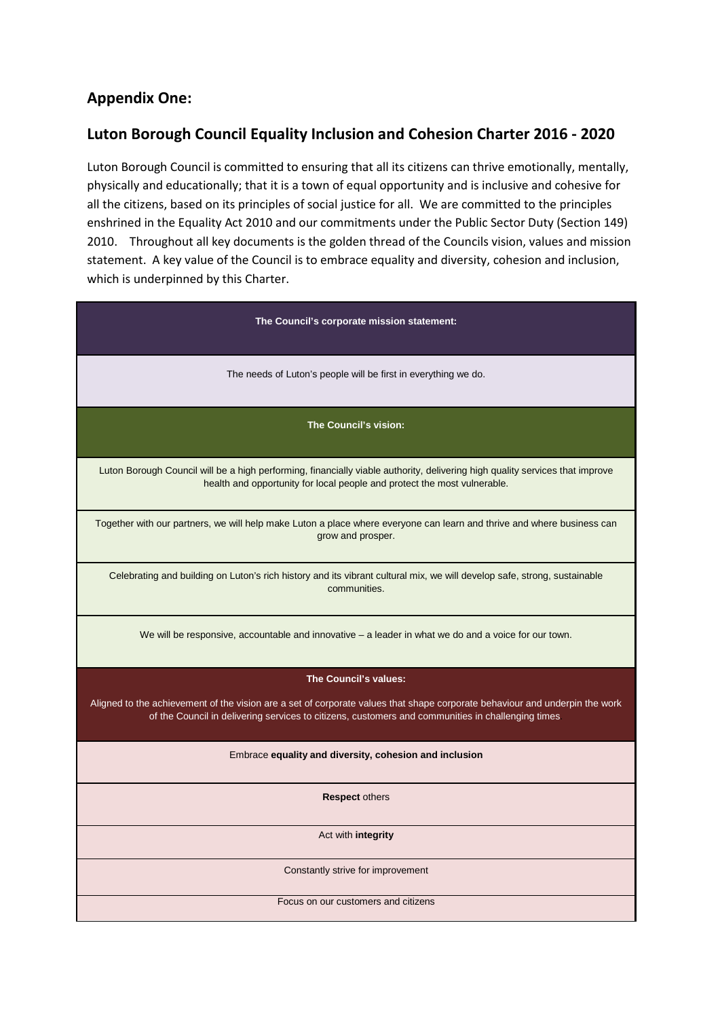# **Appendix One:**

## **Luton Borough Council Equality Inclusion and Cohesion Charter 2016 - 2020**

Luton Borough Council is committed to ensuring that all its citizens can thrive emotionally, mentally, physically and educationally; that it is a town of equal opportunity and is inclusive and cohesive for all the citizens, based on its principles of social justice for all. We are committed to the principles enshrined in the Equality Act 2010 and our commitments under the Public Sector Duty (Section 149) 2010. Throughout all key documents is the golden thread of the Councils vision, values and mission statement. A key value of the Council is to embrace equality and diversity, cohesion and inclusion, which is underpinned by this Charter.

| The Council's corporate mission statement:                                                                                                                                                                                       |
|----------------------------------------------------------------------------------------------------------------------------------------------------------------------------------------------------------------------------------|
| The needs of Luton's people will be first in everything we do.                                                                                                                                                                   |
| The Council's vision:                                                                                                                                                                                                            |
| Luton Borough Council will be a high performing, financially viable authority, delivering high quality services that improve<br>health and opportunity for local people and protect the most vulnerable.                         |
| Together with our partners, we will help make Luton a place where everyone can learn and thrive and where business can<br>grow and prosper.                                                                                      |
| Celebrating and building on Luton's rich history and its vibrant cultural mix, we will develop safe, strong, sustainable<br>communities.                                                                                         |
| We will be responsive, accountable and innovative $-$ a leader in what we do and a voice for our town.                                                                                                                           |
| The Council's values:                                                                                                                                                                                                            |
| Aligned to the achievement of the vision are a set of corporate values that shape corporate behaviour and underpin the work<br>of the Council in delivering services to citizens, customers and communities in challenging times |
| Embrace equality and diversity, cohesion and inclusion                                                                                                                                                                           |
| <b>Respect others</b>                                                                                                                                                                                                            |
| Act with integrity                                                                                                                                                                                                               |
| Constantly strive for improvement                                                                                                                                                                                                |
| Focus on our customers and citizens                                                                                                                                                                                              |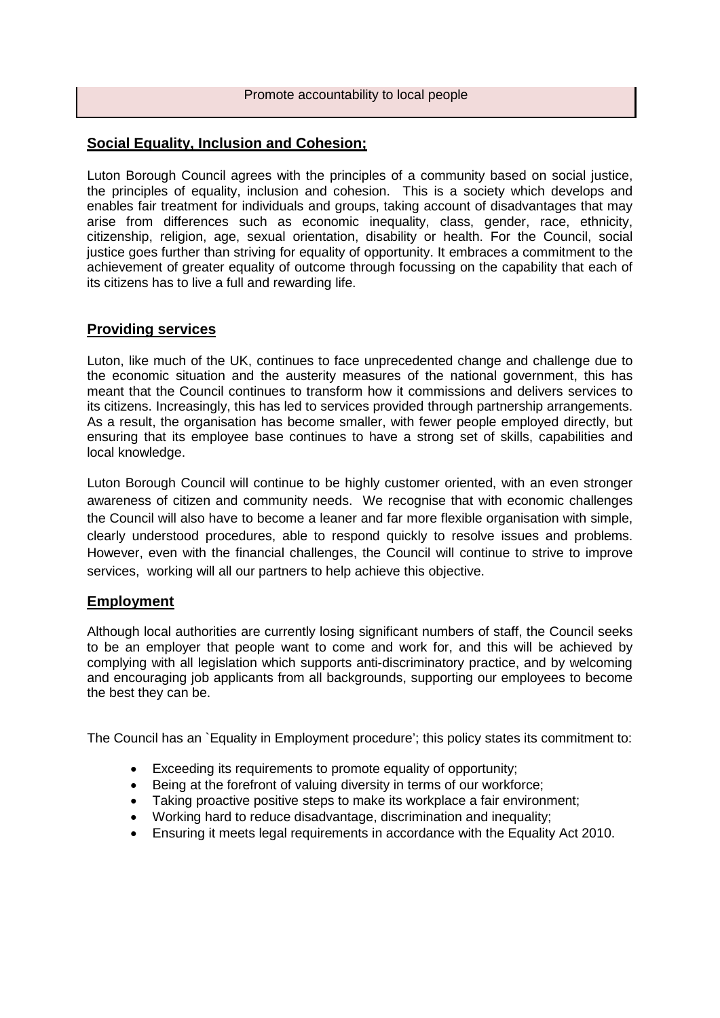#### **Social Equality, Inclusion and Cohesion;**

Luton Borough Council agrees with the principles of a community based on social justice, the principles of equality, inclusion and cohesion. This is a society which develops and enables fair treatment for individuals and groups, taking account of disadvantages that may arise from differences such as economic inequality, class, gender, race, ethnicity, citizenship, religion, age, sexual orientation, disability or health. For the Council, social justice goes further than striving for equality of opportunity. It embraces a commitment to the achievement of greater equality of outcome through focussing on the capability that each of its citizens has to live a full and rewarding life.

#### **Providing services**

Luton, like much of the UK, continues to face unprecedented change and challenge due to the economic situation and the austerity measures of the national government, this has meant that the Council continues to transform how it commissions and delivers services to its citizens. Increasingly, this has led to services provided through partnership arrangements. As a result, the organisation has become smaller, with fewer people employed directly, but ensuring that its employee base continues to have a strong set of skills, capabilities and local knowledge.

Luton Borough Council will continue to be highly customer oriented, with an even stronger awareness of citizen and community needs. We recognise that with economic challenges the Council will also have to become a leaner and far more flexible organisation with simple, clearly understood procedures, able to respond quickly to resolve issues and problems. However, even with the financial challenges, the Council will continue to strive to improve services, working will all our partners to help achieve this objective.

#### **Employment**

Although local authorities are currently losing significant numbers of staff, the Council seeks to be an employer that people want to come and work for, and this will be achieved by complying with all legislation which supports anti-discriminatory practice, and by welcoming and encouraging job applicants from all backgrounds, supporting our employees to become the best they can be.

The Council has an `Equality in Employment procedure'; this policy states its commitment to:

- Exceeding its requirements to promote equality of opportunity;
- Being at the forefront of valuing diversity in terms of our workforce;
- Taking proactive positive steps to make its workplace a fair environment;
- Working hard to reduce disadvantage, discrimination and inequality;
- Ensuring it meets legal requirements in accordance with the Equality Act 2010.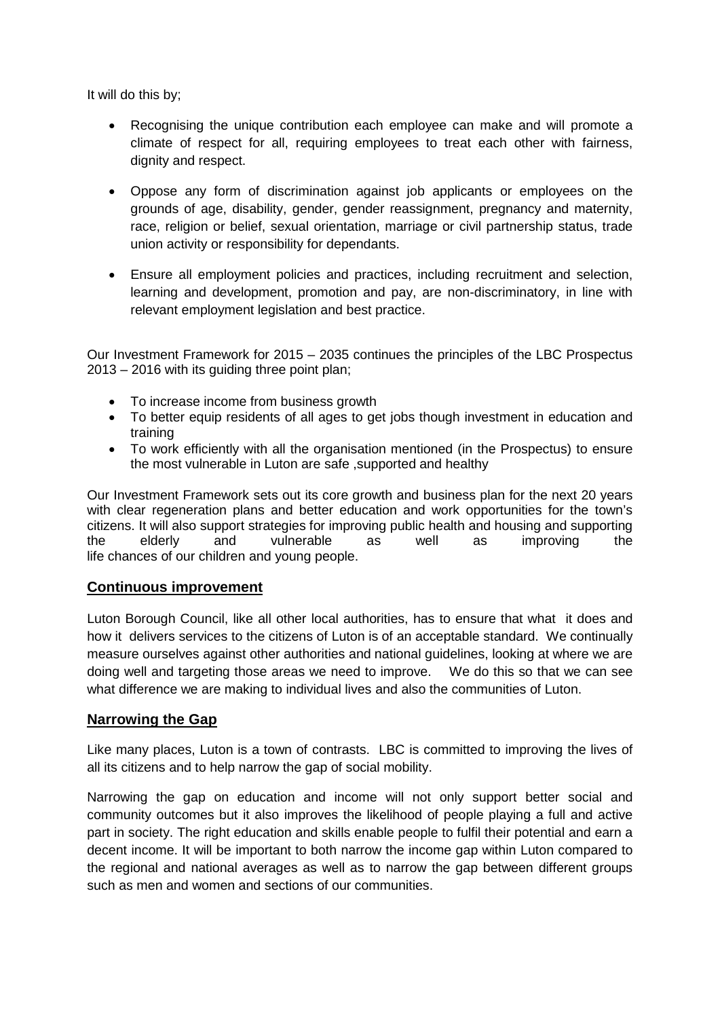It will do this by;

- Recognising the unique contribution each employee can make and will promote a climate of respect for all, requiring employees to treat each other with fairness, dignity and respect.
- Oppose any form of discrimination against job applicants or employees on the grounds of age, disability, gender, gender reassignment, pregnancy and maternity, race, religion or belief, sexual orientation, marriage or civil partnership status, trade union activity or responsibility for dependants.
- Ensure all employment policies and practices, including recruitment and selection, learning and development, promotion and pay, are non-discriminatory, in line with relevant employment legislation and best practice.

Our Investment Framework for 2015 – 2035 continues the principles of the LBC Prospectus 2013 – 2016 with its guiding three point plan;

- To increase income from business growth
- To better equip residents of all ages to get jobs though investment in education and training
- To work efficiently with all the organisation mentioned (in the Prospectus) to ensure the most vulnerable in Luton are safe ,supported and healthy

Our Investment Framework sets out its core growth and business plan for the next 20 years with clear regeneration plans and better education and work opportunities for the town's citizens. It will also support strategies for improving public health and housing and supporting the elderly and vulnerable as well as improving the life chances of our children and young people.

## **Continuous improvement**

Luton Borough Council, like all other local authorities, has to ensure that what it does and how it delivers services to the citizens of Luton is of an acceptable standard. We continually measure ourselves against other authorities and national guidelines, looking at where we are doing well and targeting those areas we need to improve. We do this so that we can see what difference we are making to individual lives and also the communities of Luton.

## **Narrowing the Gap**

Like many places, Luton is a town of contrasts. LBC is committed to improving the lives of all its citizens and to help narrow the gap of social mobility.

Narrowing the gap on education and income will not only support better social and community outcomes but it also improves the likelihood of people playing a full and active part in society. The right education and skills enable people to fulfil their potential and earn a decent income. It will be important to both narrow the income gap within Luton compared to the regional and national averages as well as to narrow the gap between different groups such as men and women and sections of our communities.